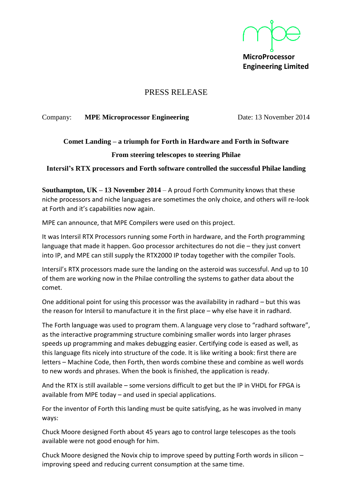**MicroProcessor Engineering Limited**

## PRESS RELEASE

#### Company: **MPE Microprocessor Engineering** Date: 13 November 2014

# **Comet Landing – a triumph for Forth in Hardware and Forth in Software**

#### **From steering telescopes to steering Philae**

#### **Intersil's RTX processors and Forth software controlled the successful Philae landing**

**Southampton, UK – 13 November 2014** – A proud Forth Community knows that these niche processors and niche languages are sometimes the only choice, and others will re-look at Forth and it's capabilities now again.

MPE can announce, that MPE Compilers were used on this project.

It was Intersil RTX Processors running some Forth in hardware, and the Forth programming language that made it happen. Goo processor architectures do not die – they just convert into IP, and MPE can still supply the RTX2000 IP today together with the compiler Tools.

Intersil's RTX processors made sure the landing on the asteroid was successful. And up to 10 of them are working now in the Philae controlling the systems to gather data about the comet.

One additional point for using this processor was the availability in radhard – but this was the reason for Intersil to manufacture it in the first place – why else have it in radhard.

The Forth language was used to program them. A language very close to "radhard software", as the interactive programming structure combining smaller words into larger phrases speeds up programming and makes debugging easier. Certifying code is eased as well, as this language fits nicely into structure of the code. It is like writing a book: first there are letters – Machine Code, then Forth, then words combine these and combine as well words to new words and phrases. When the book is finished, the application is ready.

And the RTX is still available – some versions difficult to get but the IP in VHDL for FPGA is available from MPE today – and used in special applications.

For the inventor of Forth this landing must be quite satisfying, as he was involved in many ways:

Chuck Moore designed Forth about 45 years ago to control large telescopes as the tools available were not good enough for him.

Chuck Moore designed the Novix chip to improve speed by putting Forth words in silicon – improving speed and reducing current consumption at the same time.